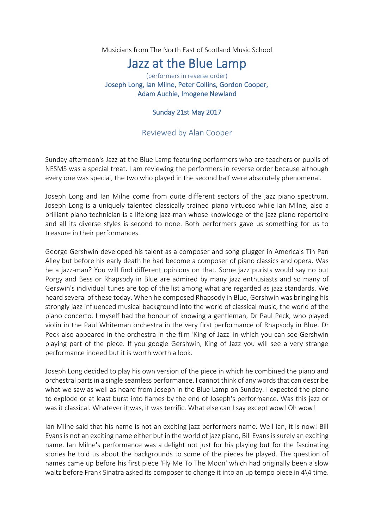Musicians from The North East of Scotland Music School

## Jazz at the Blue Lamp

(performers in reverse order) Joseph Long, Ian Milne, Peter Collins, Gordon Cooper, Adam Auchie, Imogene Newland

## Sunday 21st May 2017

## Reviewed by Alan Cooper

Sunday afternoon's Jazz at the Blue Lamp featuring performers who are teachers or pupils of NESMS was a special treat. I am reviewing the performers in reverse order because although every one was special, the two who played in the second half were absolutely phenomenal.

Joseph Long and Ian Milne come from quite different sectors of the jazz piano spectrum. Joseph Long is a uniquely talented classically trained piano virtuoso while Ian Milne, also a brilliant piano technician is a lifelong jazz-man whose knowledge of the jazz piano repertoire and all its diverse styles is second to none. Both performers gave us something for us to treasure in their performances.

George Gershwin developed his talent as a composer and song plugger in America's Tin Pan Alley but before his early death he had become a composer of piano classics and opera. Was he a jazz-man? You will find different opinions on that. Some jazz purists would say no but Porgy and Bess or Rhapsody in Blue are admired by many jazz enthusiasts and so many of Gerswin's individual tunes are top of the list among what are regarded as jazz standards. We heard several of these today. When he composed Rhapsody in Blue, Gershwin was bringing his strongly jazz influenced musical background into the world of classical music, the world of the piano concerto. I myself had the honour of knowing a gentleman, Dr Paul Peck, who played violin in the Paul Whiteman orchestra in the very first performance of Rhapsody in Blue. Dr Peck also appeared in the orchestra in the film 'King of Jazz' in which you can see Gershwin playing part of the piece. If you google Gershwin, King of Jazz you will see a very strange performance indeed but it is worth worth a look.

Joseph Long decided to play his own version of the piece in which he combined the piano and orchestral parts in a single seamless performance. I cannot think of any words that can describe what we saw as well as heard from Joseph in the Blue Lamp on Sunday. I expected the piano to explode or at least burst into flames by the end of Joseph's performance. Was this jazz or was it classical. Whatever it was, it was terrific. What else can I say except wow! Oh wow!

Ian Milne said that his name is not an exciting jazz performers name. Well Ian, it is now! Bill Evans is not an exciting name either but in the world of jazz piano, Bill Evans is surely an exciting name. Ian Milne's performance was a delight not just for his playing but for the fascinating stories he told us about the backgrounds to some of the pieces he played. The question of names came up before his first piece 'Fly Me To The Moon' which had originally been a slow waltz before Frank Sinatra asked its composer to change it into an up tempo piece in 4\4 time.